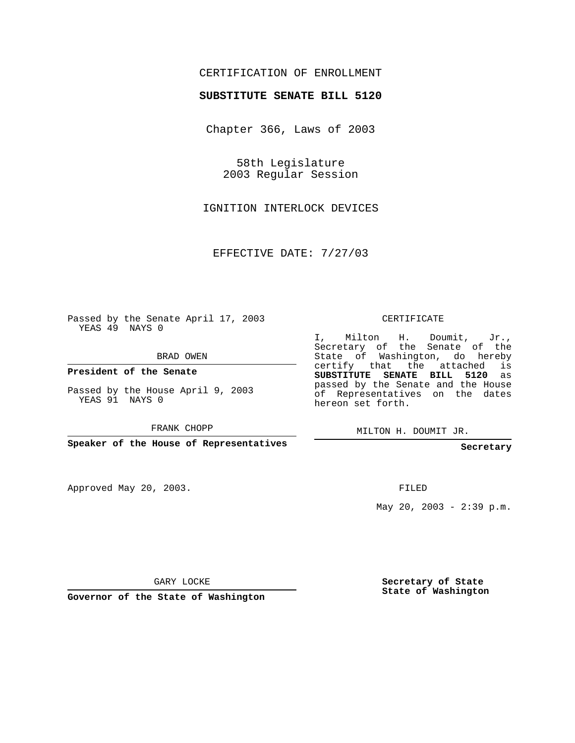# CERTIFICATION OF ENROLLMENT

#### **SUBSTITUTE SENATE BILL 5120**

Chapter 366, Laws of 2003

58th Legislature 2003 Regular Session

IGNITION INTERLOCK DEVICES

EFFECTIVE DATE: 7/27/03

Passed by the Senate April 17, 2003 YEAS 49 NAYS 0

BRAD OWEN

**President of the Senate**

Passed by the House April 9, 2003 YEAS 91 NAYS 0

FRANK CHOPP

**Speaker of the House of Representatives**

Approved May 20, 2003.

CERTIFICATE

I, Milton H. Doumit, Jr., Secretary of the Senate of the State of Washington, do hereby certify that the attached is **SUBSTITUTE SENATE BILL 5120** as passed by the Senate and the House of Representatives on the dates hereon set forth.

MILTON H. DOUMIT JR.

**Secretary**

FILED

May 20, 2003 - 2:39 p.m.

GARY LOCKE

**Governor of the State of Washington**

**Secretary of State State of Washington**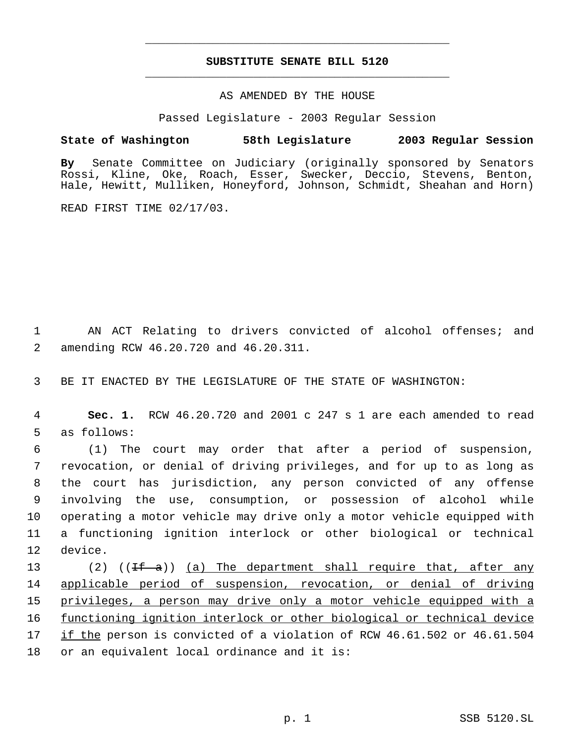# **SUBSTITUTE SENATE BILL 5120** \_\_\_\_\_\_\_\_\_\_\_\_\_\_\_\_\_\_\_\_\_\_\_\_\_\_\_\_\_\_\_\_\_\_\_\_\_\_\_\_\_\_\_\_\_

\_\_\_\_\_\_\_\_\_\_\_\_\_\_\_\_\_\_\_\_\_\_\_\_\_\_\_\_\_\_\_\_\_\_\_\_\_\_\_\_\_\_\_\_\_

### AS AMENDED BY THE HOUSE

Passed Legislature - 2003 Regular Session

# **State of Washington 58th Legislature 2003 Regular Session**

**By** Senate Committee on Judiciary (originally sponsored by Senators Rossi, Kline, Oke, Roach, Esser, Swecker, Deccio, Stevens, Benton, Hale, Hewitt, Mulliken, Honeyford, Johnson, Schmidt, Sheahan and Horn)

READ FIRST TIME 02/17/03.

 1 AN ACT Relating to drivers convicted of alcohol offenses; and 2 amending RCW 46.20.720 and 46.20.311.

3 BE IT ENACTED BY THE LEGISLATURE OF THE STATE OF WASHINGTON:

 4 **Sec. 1.** RCW 46.20.720 and 2001 c 247 s 1 are each amended to read 5 as follows:

 (1) The court may order that after a period of suspension, revocation, or denial of driving privileges, and for up to as long as the court has jurisdiction, any person convicted of any offense involving the use, consumption, or possession of alcohol while operating a motor vehicle may drive only a motor vehicle equipped with a functioning ignition interlock or other biological or technical 12 device.

13 (2) ((<del>If a</del>)) <u>(a) The department shall require that, after any</u> applicable period of suspension, revocation, or denial of driving privileges, a person may drive only a motor vehicle equipped with a 16 functioning ignition interlock or other biological or technical device if the person is convicted of a violation of RCW 46.61.502 or 46.61.504 or an equivalent local ordinance and it is: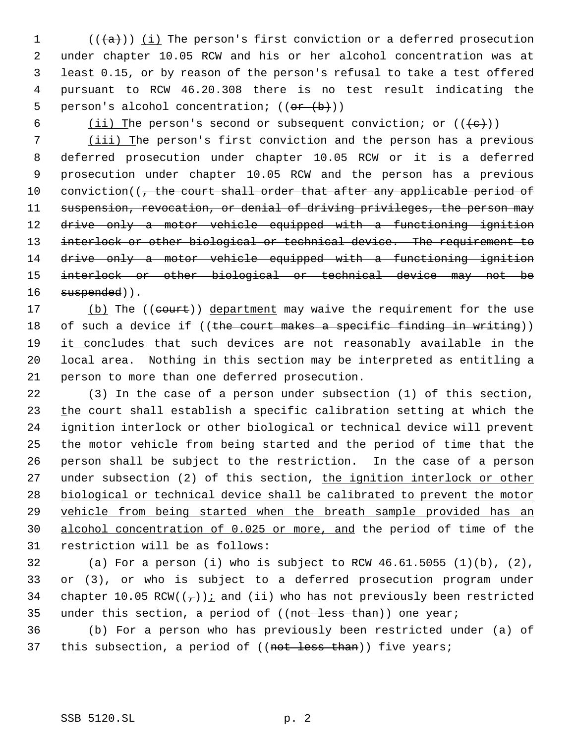$((+a))$   $(i)$  The person's first conviction or a deferred prosecution under chapter 10.05 RCW and his or her alcohol concentration was at least 0.15, or by reason of the person's refusal to take a test offered pursuant to RCW 46.20.308 there is no test result indicating the 5 person's alcohol concentration;  $((\theta \cdot \theta))$ 

6 (ii) The person's second or subsequent conviction; or  $((+e))$ 

 7 (iii) The person's first conviction and the person has a previous 8 deferred prosecution under chapter 10.05 RCW or it is a deferred 9 prosecution under chapter 10.05 RCW and the person has a previous 10 conviction((, the court shall order that after any applicable period of 11 suspension, revocation, or denial of driving privileges, the person may 12 drive only a motor vehicle equipped with a functioning ignition 13 interlock or other biological or technical device. The requirement to 14 drive only a motor vehicle equipped with a functioning ignition 15 interlock or other biological or technical device may not be 16 suspended)).

17 (b) The ((court)) department may waive the requirement for the use 18 of such a device if ((the court makes a specific finding in writing)) 19 it concludes that such devices are not reasonably available in the 20 local area. Nothing in this section may be interpreted as entitling a 21 person to more than one deferred prosecution.

 (3) In the case of a person under subsection (1) of this section, 23 the court shall establish a specific calibration setting at which the ignition interlock or other biological or technical device will prevent the motor vehicle from being started and the period of time that the person shall be subject to the restriction. In the case of a person 27 under subsection (2) of this section, the ignition interlock or other biological or technical device shall be calibrated to prevent the motor vehicle from being started when the breath sample provided has an alcohol concentration of 0.025 or more, and the period of time of the restriction will be as follows:

32 (a) For a person (i) who is subject to RCW 46.61.5055 (1)(b), (2), 33 or (3), or who is subject to a deferred prosecution program under 34 chapter 10.05 RCW( $(\tau)$ ): and (ii) who has not previously been restricted 35 under this section, a period of ((not less than)) one year;

36 (b) For a person who has previously been restricted under (a) of 37 this subsection, a period of ((not less than)) five years;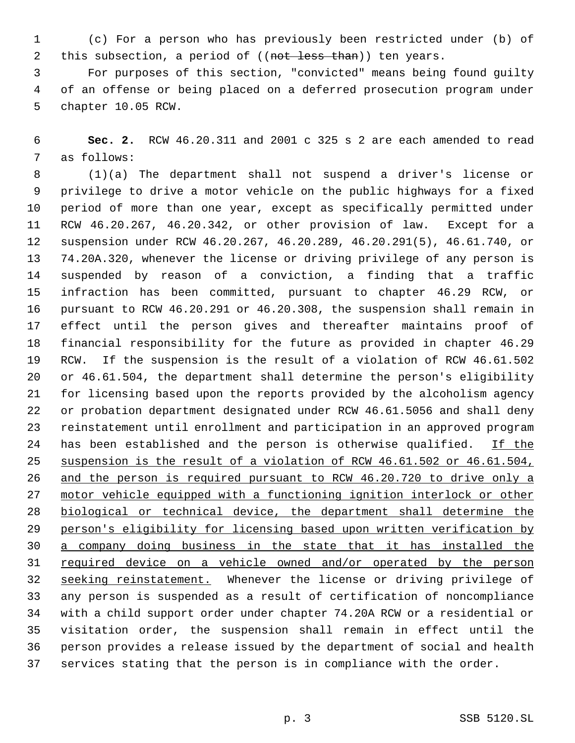(c) For a person who has previously been restricted under (b) of 2 this subsection, a period of ((not less than)) ten years.

 For purposes of this section, "convicted" means being found guilty of an offense or being placed on a deferred prosecution program under chapter 10.05 RCW.

 **Sec. 2.** RCW 46.20.311 and 2001 c 325 s 2 are each amended to read as follows:

 (1)(a) The department shall not suspend a driver's license or privilege to drive a motor vehicle on the public highways for a fixed period of more than one year, except as specifically permitted under RCW 46.20.267, 46.20.342, or other provision of law. Except for a suspension under RCW 46.20.267, 46.20.289, 46.20.291(5), 46.61.740, or 74.20A.320, whenever the license or driving privilege of any person is suspended by reason of a conviction, a finding that a traffic infraction has been committed, pursuant to chapter 46.29 RCW, or pursuant to RCW 46.20.291 or 46.20.308, the suspension shall remain in effect until the person gives and thereafter maintains proof of financial responsibility for the future as provided in chapter 46.29 RCW. If the suspension is the result of a violation of RCW 46.61.502 or 46.61.504, the department shall determine the person's eligibility for licensing based upon the reports provided by the alcoholism agency or probation department designated under RCW 46.61.5056 and shall deny reinstatement until enrollment and participation in an approved program 24 has been established and the person is otherwise qualified. If the suspension is the result of a violation of RCW 46.61.502 or 46.61.504, and the person is required pursuant to RCW 46.20.720 to drive only a motor vehicle equipped with a functioning ignition interlock or other biological or technical device, the department shall determine the person's eligibility for licensing based upon written verification by a company doing business in the state that it has installed the 31 required device on a vehicle owned and/or operated by the person seeking reinstatement. Whenever the license or driving privilege of any person is suspended as a result of certification of noncompliance with a child support order under chapter 74.20A RCW or a residential or visitation order, the suspension shall remain in effect until the person provides a release issued by the department of social and health services stating that the person is in compliance with the order.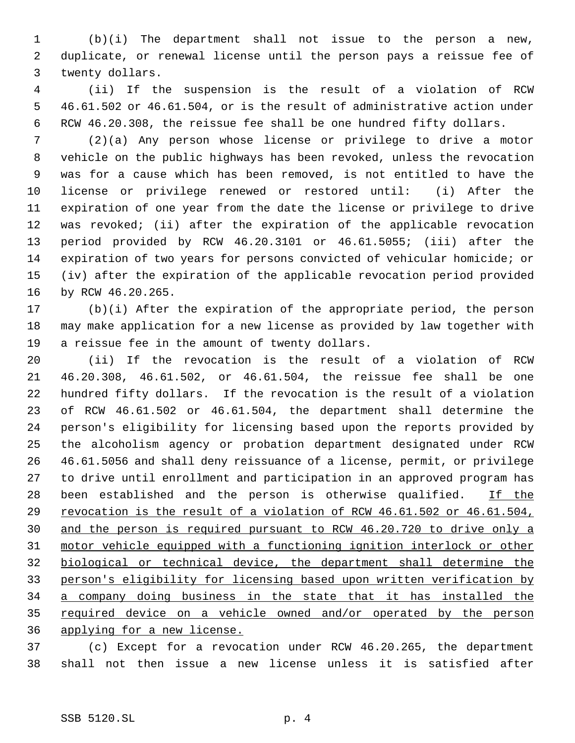(b)(i) The department shall not issue to the person a new, duplicate, or renewal license until the person pays a reissue fee of twenty dollars.

 (ii) If the suspension is the result of a violation of RCW 46.61.502 or 46.61.504, or is the result of administrative action under RCW 46.20.308, the reissue fee shall be one hundred fifty dollars.

 (2)(a) Any person whose license or privilege to drive a motor vehicle on the public highways has been revoked, unless the revocation was for a cause which has been removed, is not entitled to have the license or privilege renewed or restored until: (i) After the expiration of one year from the date the license or privilege to drive was revoked; (ii) after the expiration of the applicable revocation period provided by RCW 46.20.3101 or 46.61.5055; (iii) after the expiration of two years for persons convicted of vehicular homicide; or (iv) after the expiration of the applicable revocation period provided by RCW 46.20.265.

 (b)(i) After the expiration of the appropriate period, the person may make application for a new license as provided by law together with a reissue fee in the amount of twenty dollars.

 (ii) If the revocation is the result of a violation of RCW 46.20.308, 46.61.502, or 46.61.504, the reissue fee shall be one hundred fifty dollars. If the revocation is the result of a violation of RCW 46.61.502 or 46.61.504, the department shall determine the person's eligibility for licensing based upon the reports provided by the alcoholism agency or probation department designated under RCW 46.61.5056 and shall deny reissuance of a license, permit, or privilege to drive until enrollment and participation in an approved program has 28 been established and the person is otherwise qualified.  $I$  If the 29 revocation is the result of a violation of RCW 46.61.502 or 46.61.504, and the person is required pursuant to RCW 46.20.720 to drive only a motor vehicle equipped with a functioning ignition interlock or other biological or technical device, the department shall determine the person's eligibility for licensing based upon written verification by a company doing business in the state that it has installed the 35 required device on a vehicle owned and/or operated by the person applying for a new license.

 (c) Except for a revocation under RCW 46.20.265, the department shall not then issue a new license unless it is satisfied after